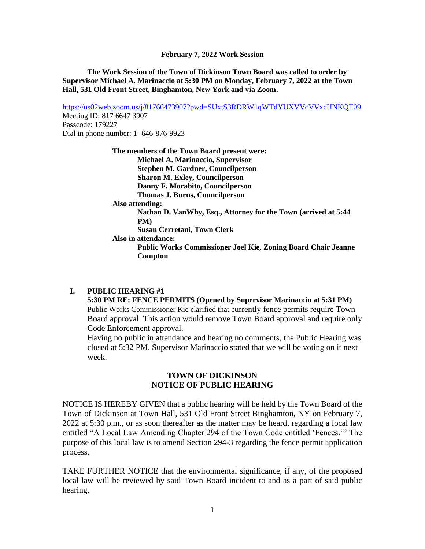**The Work Session of the Town of Dickinson Town Board was called to order by Supervisor Michael A. Marinaccio at 5:30 PM on Monday, February 7, 2022 at the Town Hall, 531 Old Front Street, Binghamton, New York and via Zoom.**

<https://us02web.zoom.us/j/81766473907?pwd=SUxtS3RDRW1qWTdYUXVVcVVxcHNKQT09> Meeting ID: 817 6647 3907 Passcode: 179227 Dial in phone number: 1- 646-876-9923

> **The members of the Town Board present were: Michael A. Marinaccio, Supervisor Stephen M. Gardner, Councilperson Sharon M. Exley, Councilperson Danny F. Morabito, Councilperson Thomas J. Burns, Councilperson Also attending: Nathan D. VanWhy, Esq., Attorney for the Town (arrived at 5:44 PM) Susan Cerretani, Town Clerk Also in attendance: Public Works Commissioner Joel Kie, Zoning Board Chair Jeanne Compton**

## **I. PUBLIC HEARING #1**

**5:30 PM RE: FENCE PERMITS (Opened by Supervisor Marinaccio at 5:31 PM)** Public Works Commissioner Kie clarified that currently fence permits require Town Board approval. This action would remove Town Board approval and require only Code Enforcement approval.

Having no public in attendance and hearing no comments, the Public Hearing was closed at 5:32 PM. Supervisor Marinaccio stated that we will be voting on it next week.

# **TOWN OF DICKINSON NOTICE OF PUBLIC HEARING**

NOTICE IS HEREBY GIVEN that a public hearing will be held by the Town Board of the Town of Dickinson at Town Hall, 531 Old Front Street Binghamton, NY on February 7, 2022 at 5:30 p.m., or as soon thereafter as the matter may be heard, regarding a local law entitled "A Local Law Amending Chapter 294 of the Town Code entitled 'Fences.'" The purpose of this local law is to amend Section 294-3 regarding the fence permit application process.

TAKE FURTHER NOTICE that the environmental significance, if any, of the proposed local law will be reviewed by said Town Board incident to and as a part of said public hearing.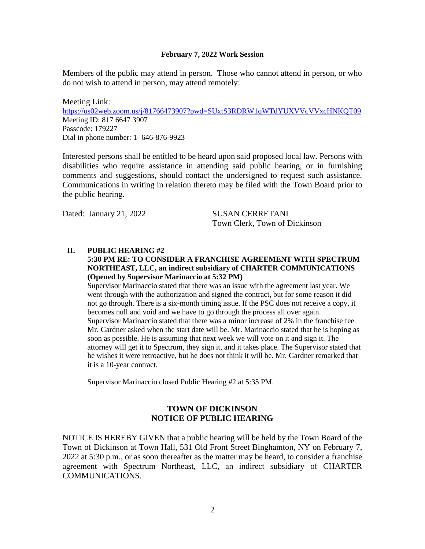Members of the public may attend in person. Those who cannot attend in person, or who do not wish to attend in person, may attend remotely:

Meeting Link: <https://us02web.zoom.us/j/81766473907?pwd=SUxtS3RDRW1qWTdYUXVVcVVxcHNKQT09> Meeting ID: 817 6647 3907 Passcode: 179227 Dial in phone number: 1- 646-876-9923

Interested persons shall be entitled to be heard upon said proposed local law. Persons with disabilities who require assistance in attending said public hearing, or in furnishing comments and suggestions, should contact the undersigned to request such assistance. Communications in writing in relation thereto may be filed with the Town Board prior to the public hearing.

Dated: January 21, 2022 SUSAN CERRETANI

Town Clerk, Town of Dickinson

#### **II. PUBLIC HEARING #2**

#### **5:30 PM RE: TO CONSIDER A FRANCHISE AGREEMENT WITH SPECTRUM NORTHEAST, LLC, an indirect subsidiary of CHARTER COMMUNICATIONS (Opened by Supervisor Marinaccio at 5:32 PM)**

Supervisor Marinaccio stated that there was an issue with the agreement last year. We went through with the authorization and signed the contract, but for some reason it did not go through. There is a six-month timing issue. If the PSC does not receive a copy, it becomes null and void and we have to go through the process all over again. Supervisor Marinaccio stated that there was a minor increase of 2% in the franchise fee. Mr. Gardner asked when the start date will be. Mr. Marinaccio stated that he is hoping as soon as possible. He is assuming that next week we will vote on it and sign it. The attorney will get it to Spectrum, they sign it, and it takes place. The Supervisor stated that he wishes it were retroactive, but he does not think it will be. Mr. Gardner remarked that it is a 10-year contract.

Supervisor Marinaccio closed Public Hearing #2 at 5:35 PM.

## **TOWN OF DICKINSON NOTICE OF PUBLIC HEARING**

NOTICE IS HEREBY GIVEN that a public hearing will be held by the Town Board of the Town of Dickinson at Town Hall, 531 Old Front Street Binghamton, NY on February 7, 2022 at 5:30 p.m., or as soon thereafter as the matter may be heard, to consider a franchise agreement with Spectrum Northeast, LLC, an indirect subsidiary of CHARTER COMMUNICATIONS.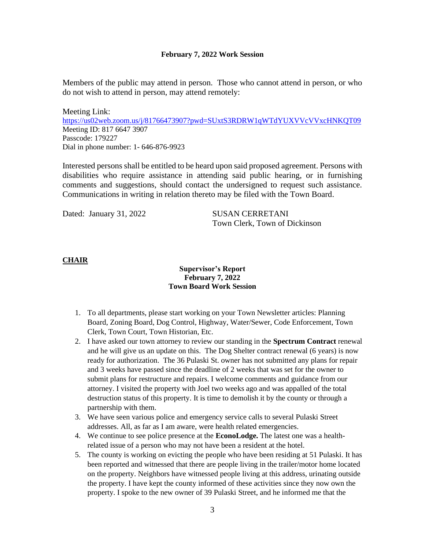Members of the public may attend in person. Those who cannot attend in person, or who do not wish to attend in person, may attend remotely:

Meeting Link: <https://us02web.zoom.us/j/81766473907?pwd=SUxtS3RDRW1qWTdYUXVVcVVxcHNKQT09> Meeting ID: 817 6647 3907 Passcode: 179227 Dial in phone number: 1- 646-876-9923

Interested persons shall be entitled to be heard upon said proposed agreement. Persons with disabilities who require assistance in attending said public hearing, or in furnishing comments and suggestions, should contact the undersigned to request such assistance. Communications in writing in relation thereto may be filed with the Town Board.

Dated: January 31, 2022 SUSAN CERRETANI

Town Clerk, Town of Dickinson

## **CHAIR**

## **Supervisor's Report February 7, 2022 Town Board Work Session**

- 1. To all departments, please start working on your Town Newsletter articles: Planning Board, Zoning Board, Dog Control, Highway, Water/Sewer, Code Enforcement, Town Clerk, Town Court, Town Historian, Etc.
- 2. I have asked our town attorney to review our standing in the **Spectrum Contract** renewal and he will give us an update on this. The Dog Shelter contract renewal (6 years) is now ready for authorization. The 36 Pulaski St. owner has not submitted any plans for repair and 3 weeks have passed since the deadline of 2 weeks that was set for the owner to submit plans for restructure and repairs. I welcome comments and guidance from our attorney. I visited the property with Joel two weeks ago and was appalled of the total destruction status of this property. It is time to demolish it by the county or through a partnership with them.
- 3. We have seen various police and emergency service calls to several Pulaski Street addresses. All, as far as I am aware, were health related emergencies.
- 4. We continue to see police presence at the **EconoLodge.** The latest one was a healthrelated issue of a person who may not have been a resident at the hotel.
- 5. The county is working on evicting the people who have been residing at 51 Pulaski. It has been reported and witnessed that there are people living in the trailer/motor home located on the property. Neighbors have witnessed people living at this address, urinating outside the property. I have kept the county informed of these activities since they now own the property. I spoke to the new owner of 39 Pulaski Street, and he informed me that the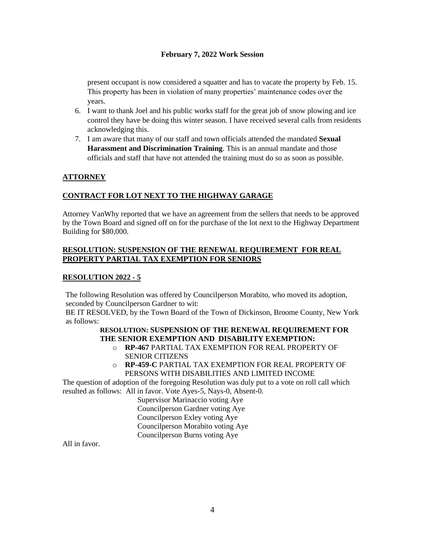present occupant is now considered a squatter and has to vacate the property by Feb. 15. This property has been in violation of many properties' maintenance codes over the years.

- 6. I want to thank Joel and his public works staff for the great job of snow plowing and ice control they have be doing this winter season. I have received several calls from residents acknowledging this.
- 7. I am aware that many of our staff and town officials attended the mandated **Sexual Harassment and Discrimination Training**. This is an annual mandate and those officials and staff that have not attended the training must do so as soon as possible.

# **ATTORNEY**

## **CONTRACT FOR LOT NEXT TO THE HIGHWAY GARAGE**

Attorney VanWhy reported that we have an agreement from the sellers that needs to be approved by the Town Board and signed off on for the purchase of the lot next to the Highway Department Building for \$80,000.

## **RESOLUTION: SUSPENSION OF THE RENEWAL REQUIREMENT FOR REAL PROPERTY PARTIAL TAX EXEMPTION FOR SENIORS**

## **RESOLUTION 2022 - 5**

The following Resolution was offered by Councilperson Morabito, who moved its adoption, seconded by Councilperson Gardner to wit:

BE IT RESOLVED, by the Town Board of the Town of Dickinson, Broome County, New York as follows:

## **RESOLUTION: SUSPENSION OF THE RENEWAL REQUIREMENT FOR THE SENIOR EXEMPTION AND DISABILITY EXEMPTION:**

- o **RP-467** PARTIAL TAX EXEMPTION FOR REAL PROPERTY OF SENIOR CITIZENS
- o **RP-459-C** PARTIAL TAX EXEMPTION FOR REAL PROPERTY OF PERSONS WITH DISABILITIES AND LIMITED INCOME

The question of adoption of the foregoing Resolution was duly put to a vote on roll call which resulted as follows: All in favor. Vote Ayes-5, Nays-0, Absent-0.

Supervisor Marinaccio voting Aye Councilperson Gardner voting Aye Councilperson Exley voting Aye Councilperson Morabito voting Aye Councilperson Burns voting Aye

All in favor.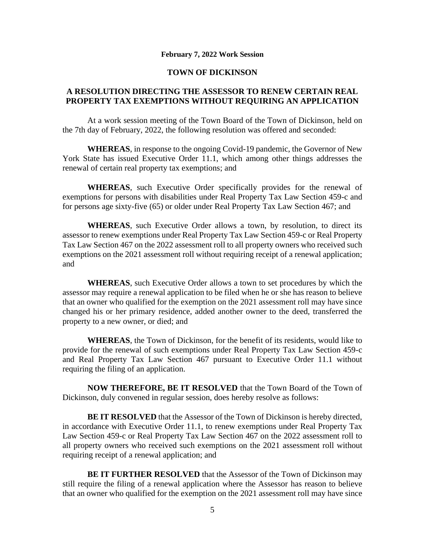## **TOWN OF DICKINSON**

# **A RESOLUTION DIRECTING THE ASSESSOR TO RENEW CERTAIN REAL PROPERTY TAX EXEMPTIONS WITHOUT REQUIRING AN APPLICATION**

At a work session meeting of the Town Board of the Town of Dickinson, held on the 7th day of February, 2022, the following resolution was offered and seconded:

**WHEREAS**, in response to the ongoing Covid-19 pandemic, the Governor of New York State has issued Executive Order 11.1, which among other things addresses the renewal of certain real property tax exemptions; and

**WHEREAS**, such Executive Order specifically provides for the renewal of exemptions for persons with disabilities under Real Property Tax Law Section 459-c and for persons age sixty-five (65) or older under Real Property Tax Law Section 467; and

**WHEREAS**, such Executive Order allows a town, by resolution, to direct its assessor to renew exemptions under Real Property Tax Law Section 459-c or Real Property Tax Law Section 467 on the 2022 assessment roll to all property owners who received such exemptions on the 2021 assessment roll without requiring receipt of a renewal application; and

**WHEREAS**, such Executive Order allows a town to set procedures by which the assessor may require a renewal application to be filed when he or she has reason to believe that an owner who qualified for the exemption on the 2021 assessment roll may have since changed his or her primary residence, added another owner to the deed, transferred the property to a new owner, or died; and

**WHEREAS**, the Town of Dickinson, for the benefit of its residents, would like to provide for the renewal of such exemptions under Real Property Tax Law Section 459-c and Real Property Tax Law Section 467 pursuant to Executive Order 11.1 without requiring the filing of an application.

**NOW THEREFORE, BE IT RESOLVED** that the Town Board of the Town of Dickinson, duly convened in regular session, does hereby resolve as follows:

**BE IT RESOLVED** that the Assessor of the Town of Dickinson is hereby directed, in accordance with Executive Order 11.1, to renew exemptions under Real Property Tax Law Section 459-c or Real Property Tax Law Section 467 on the 2022 assessment roll to all property owners who received such exemptions on the 2021 assessment roll without requiring receipt of a renewal application; and

**BE IT FURTHER RESOLVED** that the Assessor of the Town of Dickinson may still require the filing of a renewal application where the Assessor has reason to believe that an owner who qualified for the exemption on the 2021 assessment roll may have since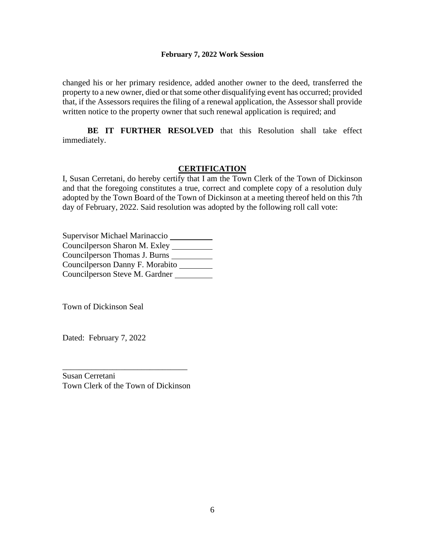changed his or her primary residence, added another owner to the deed, transferred the property to a new owner, died or that some other disqualifying event has occurred; provided that, if the Assessors requires the filing of a renewal application, the Assessor shall provide written notice to the property owner that such renewal application is required; and

**BE IT FURTHER RESOLVED** that this Resolution shall take effect immediately.

## **CERTIFICATION**

I, Susan Cerretani, do hereby certify that I am the Town Clerk of the Town of Dickinson and that the foregoing constitutes a true, correct and complete copy of a resolution duly adopted by the Town Board of the Town of Dickinson at a meeting thereof held on this 7th day of February, 2022. Said resolution was adopted by the following roll call vote:

Supervisor Michael Marinaccio Councilperson Sharon M. Exley Councilperson Thomas J. Burns Councilperson Danny F. Morabito Councilperson Steve M. Gardner

Town of Dickinson Seal

Dated: February 7, 2022

Susan Cerretani Town Clerk of the Town of Dickinson

\_\_\_\_\_\_\_\_\_\_\_\_\_\_\_\_\_\_\_\_\_\_\_\_\_\_\_\_\_\_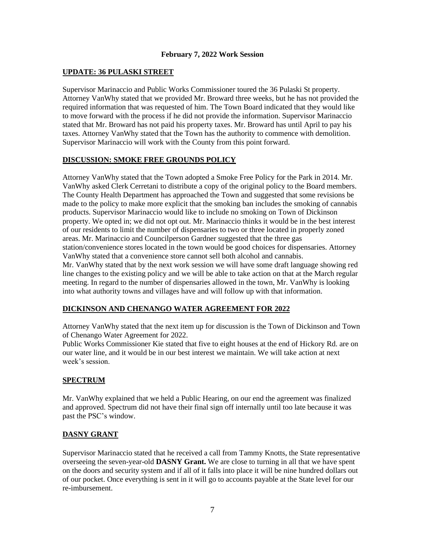## **UPDATE: 36 PULASKI STREET**

Supervisor Marinaccio and Public Works Commissioner toured the 36 Pulaski St property. Attorney VanWhy stated that we provided Mr. Broward three weeks, but he has not provided the required information that was requested of him. The Town Board indicated that they would like to move forward with the process if he did not provide the information. Supervisor Marinaccio stated that Mr. Broward has not paid his property taxes. Mr. Broward has until April to pay his taxes. Attorney VanWhy stated that the Town has the authority to commence with demolition. Supervisor Marinaccio will work with the County from this point forward.

#### **DISCUSSION: SMOKE FREE GROUNDS POLICY**

Attorney VanWhy stated that the Town adopted a Smoke Free Policy for the Park in 2014. Mr. VanWhy asked Clerk Cerretani to distribute a copy of the original policy to the Board members. The County Health Department has approached the Town and suggested that some revisions be made to the policy to make more explicit that the smoking ban includes the smoking of cannabis products. Supervisor Marinaccio would like to include no smoking on Town of Dickinson property. We opted in; we did not opt out. Mr. Marinaccio thinks it would be in the best interest of our residents to limit the number of dispensaries to two or three located in properly zoned areas. Mr. Marinaccio and Councilperson Gardner suggested that the three gas station/convenience stores located in the town would be good choices for dispensaries. Attorney VanWhy stated that a convenience store cannot sell both alcohol and cannabis. Mr. VanWhy stated that by the next work session we will have some draft language showing red line changes to the existing policy and we will be able to take action on that at the March regular meeting. In regard to the number of dispensaries allowed in the town, Mr. VanWhy is looking into what authority towns and villages have and will follow up with that information.

## **DICKINSON AND CHENANGO WATER AGREEMENT FOR 2022**

Attorney VanWhy stated that the next item up for discussion is the Town of Dickinson and Town of Chenango Water Agreement for 2022.

Public Works Commissioner Kie stated that five to eight houses at the end of Hickory Rd. are on our water line, and it would be in our best interest we maintain. We will take action at next week's session.

## **SPECTRUM**

Mr. VanWhy explained that we held a Public Hearing, on our end the agreement was finalized and approved. Spectrum did not have their final sign off internally until too late because it was past the PSC's window.

## **DASNY GRANT**

Supervisor Marinaccio stated that he received a call from Tammy Knotts, the State representative overseeing the seven-year-old **DASNY Grant.** We are close to turning in all that we have spent on the doors and security system and if all of it falls into place it will be nine hundred dollars out of our pocket. Once everything is sent in it will go to accounts payable at the State level for our re-imbursement.